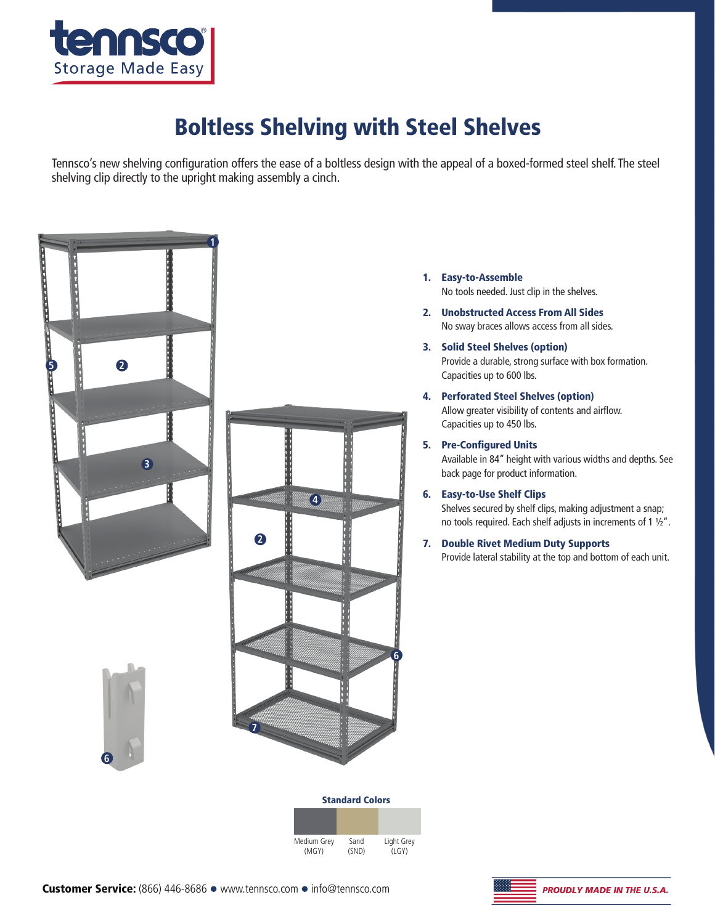

## Boltless Shelving with Steel Shelves

Tennsco's new shelving configuration offers the ease of a boltless design with the appeal of a boxed-formed steel shelf. The steel shelving clip directly to the upright making assembly a cinch.



Standard Colors Medium Grey (MGY) Sand (SND) Light Grey (LGY)

**6**

- 1. Easy-to-Assemble No tools needed. Just clip in the shelves.
- 2. Unobstructed Access From All Sides No sway braces allows access from all sides.
- 3. Solid Steel Shelves (option) Provide a durable, strong surface with box formation. Capacities up to 600 lbs.
- 4. Perforated Steel Shelves (option) Allow greater visibility of contents and airflow. Capacities up to 450 lbs.
- 5. Pre-Configured Units Available in 84" height with various widths and depths. See back page for product information.
- 6. Easy-to-Use Shelf Clips Shelves secured by shelf clips, making adjustment a snap; no tools required. Each shelf adjusts in increments of 1  $1/2$ ".
- 7. Double Rivet Medium Duty Supports Provide lateral stability at the top and bottom of each unit.